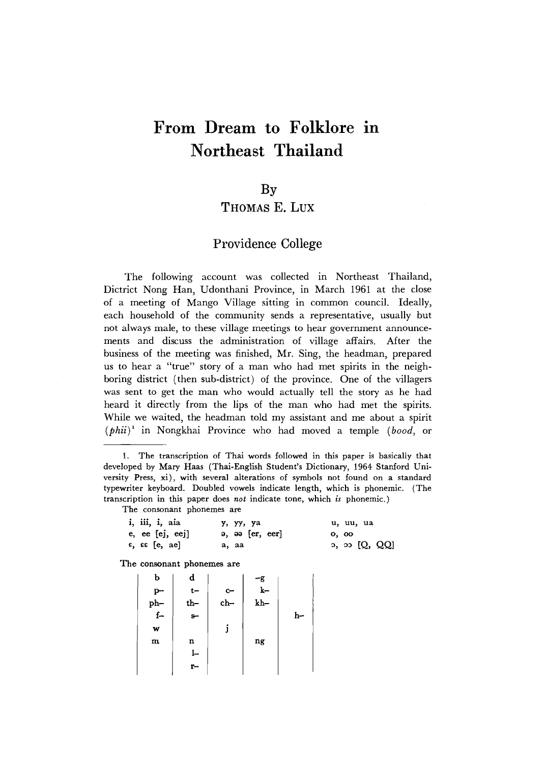# **From Dream to Folklore in Northeast Thailand**

# $\mathbf{B}\mathbf{v}$

# THOMAS E. LUX

# **Providence College**

The following account was collected in Northeast Thailand, Dictrict Nong Han, Udonthani Province, in March 1961 at the close of a meeting of Mango Village sitting in common council. Ideally, each household of the community sends a representative, usually but not always male, to these village meetings to hear government announcements and discuss the administration of village affairs. After the business of the meeting was finished, Mr. Sing, the headman, prepared us to hear a "true" story of a man who had met spirits in the neighboring district (then sub-district) of the province. One of the villagers was sent to get the man who would actually tell the story as he had heard it directly from the lips of the man who had met the spirits. While we waited, the headman told my assistant and me about a spirit *(phii)1* in Nongkhai Province who had moved a temple *(bood,* or

1 . The transcription of Thai words followed in this paper is basically that developed by Mary Haas (Thai-English Student's Dictionary, 1964 Stanford University Press, xi), with several alterations of symbols not found on a standard typewriter keyboard. Doubled vowels indicate length, which is phonemic. (The transcription in this paper does *not* indicate tone, which *is* phonemic.)

The consonant phonemes are

| i, iii, i, aia                          | у, уу, уа             | u, uu, ua                   |
|-----------------------------------------|-----------------------|-----------------------------|
| e, ee [ej, eej]                         | $a, a$ as $[er, cer]$ | 0, 00                       |
| $\epsilon$ , $\epsilon\epsilon$ [e, ae] | a, aa                 | $\sigma$ , $\sigma$ [Q, QQ] |

The consonant phonemes are

| b     | d   |       | -g  |    |
|-------|-----|-------|-----|----|
| p-    | t-  | c-    | k–  |    |
| ph-   | th- | $ch-$ | kh– |    |
| $f -$ | s-  |       |     | h- |
| W     |     |       |     |    |
| m     | n   |       | ng  |    |
|       | ļ.  |       |     |    |
|       | r-  |       |     |    |
|       |     |       |     |    |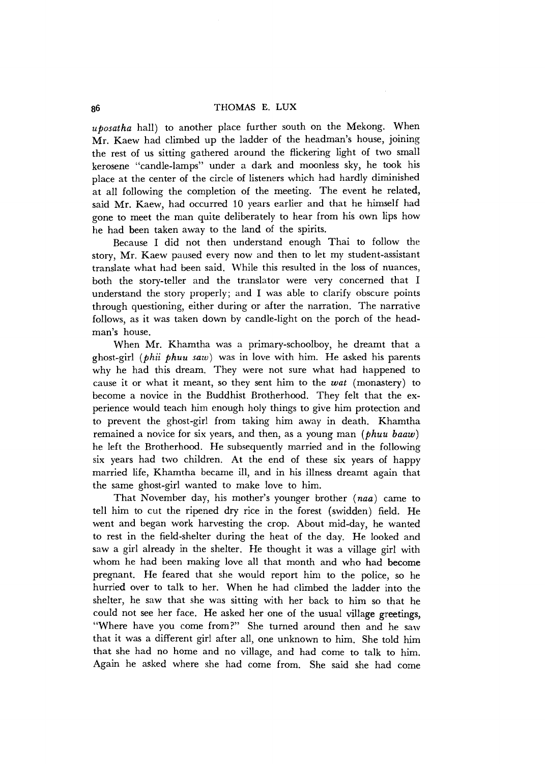*uposatha* hall) to another place further south on the Mekong. When Mr. Kaew had climbed up the ladder of the headman's house, joining the rest of us sitting- gathered around the flickering light of two small kerosene "candle-lamps" under a dark and moonless sky, he took his place at the center of the circle of listeners which had hardly diminished at all following the completion of the meeting. The event he related, said Mr. Kaew, had occurred 10 years earlier and that he himself had gone to meet the man quite deliberately to hear from his own lips how he had been taken away to the land of the spirits.

Because I did not then understand enough Thai to follow the story, Mr. Kaew paused every now and then to let my student-assistant translate what had been said. While this resulted in the loss of nuances, both the story-teller and the translator were very concerned that I understand the story properly; and I was able to clarify obscure points through questioning, either during or after the narration. The narrative follows, as it was taken down by candle-light on the porch of the headman's house.

When Mr. Khamtha was a primary-schoolboy, he dreamt that a ghost-girl *{phii phuu saw)* was in love with him. He asked his parents why he had this dream. They were not sure what had happened to cause it or what it meant, so they sent him to the *wat* (monastery) to become a novice in the Buddhist Brotherhood. They felt that the experience would teach him enough holy things to give him protection and to prevent the ghost-girl from taking him away in death. Khamtha remained a novice for six years, and then, as a young man *(phuu baaw)* he left the Brotherhood. He subsequently married and in the following six years had two children. At the end of these six years of happy married life, Khamtha became ill, and in his illness dreamt again that the same ghost-girl wanted to make love to him.

That November day, his mother's younger brother *(naa)* came to tell him to cut the ripened dry rice in the forest (swidden) field. He went and began work harvesting the crop. About mid-day, he wanted to rest in the field-shelter during the heat of the day. He looked and saw a girl already in the shelter. He thought it was a village girl with whom he had been making love all that month and who had become pregnant. He feared that she would report him to the police, so he hurried over to talk to her. When he had climbed the ladder into the shelter, he saw that she was sitting with her back to him so that he could not see her face. He asked her one of the usual village greetings, "Where have you come from?" She turned around then and he saw that it was a different girl after all, one unknown to him. She told him that she had no home and no village, and had come to talk to him. Again he asked where she had come from. She said she had come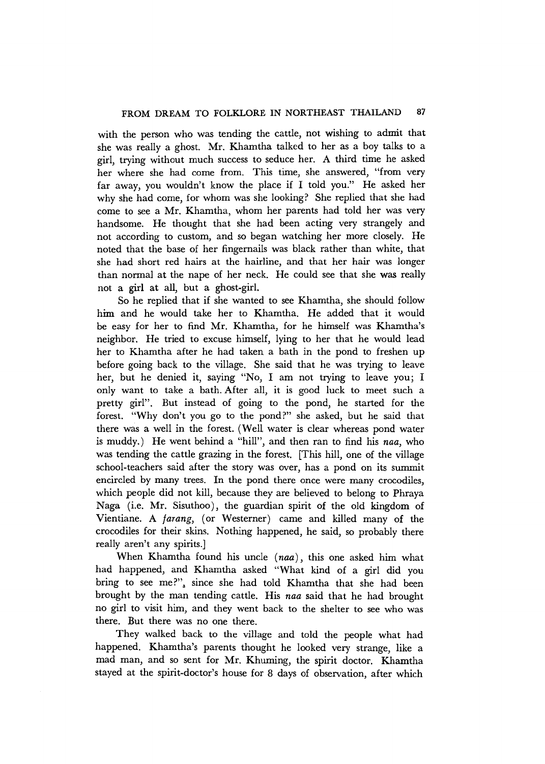with the person who was tending the cattle, not wishing to admit that she was really a ghost. Mr. Khamtha talked to her as a boy talks to a girl, trying without much success to seduce her. A third time he asked her where she had come from. This *time,* she answered,"from very far away, you wouldn't know the place if I told you." He asked her why she had *come,* for whom was she looking? She replied that she had come to see a Mr. Khamtha, whom her parents had told her was very handsome. He thought that she had been acting very strangely and not according to custom, and so began watching her more closely. He noted that the base of her fingernails was black rather than white, that she had short red hairs at the hairline, and that her hair was longer than normal at the nape of her neck. He could see that she was really not a girl at all, but a ghost-girl.

So he replied that if she wanted to see Khamtha, she should follow him and he would take her to Khamtha. He added that it would be easy for her to find Mr. Khamtha, for he himself was Khamtha's neighbor. He tried to excuse himself, lying to her that he would lead her to Khamtha after he had taken a bath in the pond to freshen up before going back to the village. She said that he was trying to leave her, but he denied it, saying "No, I am not trying to leave you; I only want to take a bath. After all, it is good luck to meet such a pretty girl". But instead of going to the pond, he started for the forest. "Why don't you go to the pond?" she asked, but he said that there was a well in the forest. (Well water is clear whereas pond water is muddy.) He went behind a "hill", and then ran to find his *naa*, who was tending the cattle grazing in the forest. [This hill, one of the village school-teachers said after the story was over, has a pond on its summit encircled by many trees. In the pond there once were many crocodiles, which people did not kill, because they are believed to belong to Phraya Naga (i.e. Mr. Sisuthoo), the guardian spirit of the old kingdom of Vientiane. A *farang*, (or Westerner) came and killed many of the crocodiles for their skins. Nothing happened, he said, so probably there really aren't any spirits.]

When Khamtha found his uncle *{naa)}* this one asked him what had happened, and Khamtha asked "What kind of a girl did you bring to see me?", since she had told Khamtha that she had been brought by the man tending cattle. His *naa* said that he had brought no girl to visit *him,* and they went back to the shelter to see who was there. But there was no one there.

They walked back to the village and told the people what had happened. Khamtha's parents thought he looked very strange, like a mad man, and so sent for Mr. Khuming, the spirit doctor. Khamtha stayed at the spirit-doctor's house for 8 days of observation, after which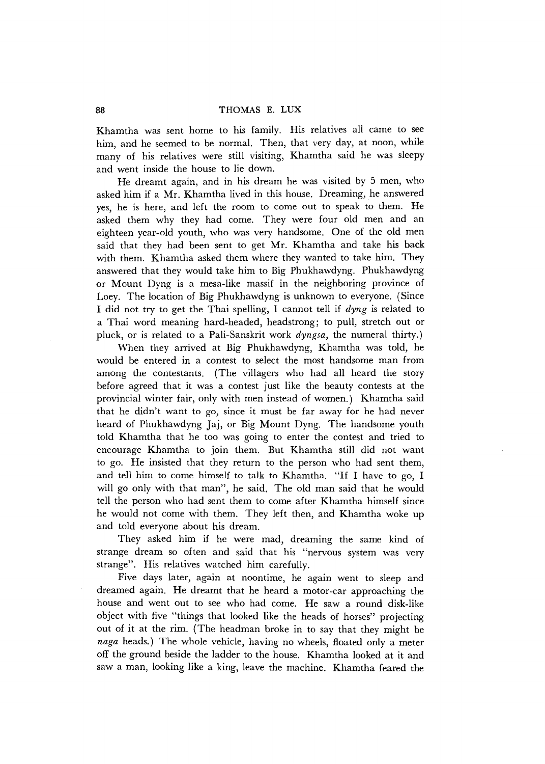Khamtha was sent home to his family. His relatives all came to see him, and he seemed to be normal. Then, that very day, at noon, while many of his relatives were still visiting, Khamtha said he was sleepy and went inside the house to lie down.

He dreamt again,and in his dream he was visited by 5 *men,* who asked him if a Mr. Khamtha lived in this house. Dreaming, he answered yes, he is here, and left the room to come out to speak to them. He asked them why they had come. They were four old men and an eighteen year-old youth, who was very handsome. One of the old men said that they had been sent to get Mr. Khamtha and take his back with them. Khamtha asked them where they wanted to take him. They answered that they would take him to Big Phukhawdyng. Phukhawdyng or Mount Dyng is a mesa-like massif in the neighboring province of Loey. The location of Big Phukhawdyng is unknown to everyone. (Since I did not try to get the Thai spelling,I cannot tell if *dyng* is related to a Thai word meaning hard-headed, headstrong; to pull, stretch out or pluck,or is related to a Pali-Sanskrit work *dyngsa,* the numeral thirty.)

When they arrived at Big Phukhawdyng, Khamtha was told, he would be entered in a contest to select the most handsome man from among the contestants. (The villagers who had all heard the story before agreed that it was a contest just like the beauty contests at the provincial winter fair, only with men instead of women.) Khamtha said that he didn't want to go, since it must be far away for he had never heard of Phukhawdyng Jaj, or Big Mount Dyng. The handsome youth told Khamtha that he too was going to enter the contest and tried to encourage Khamtha to join them. But Khamtha still did not want to go. He insisted that they return to the person who had sent them, and tell him to come himself to talk to Khamtha. "If I have to go, I will go only with that man", he said. The old man said that he would tell the person who had sent them to come after Khamtha himself since he would not come with them. They left then, and Khamtha woke up and told everyone about his dream.

They asked him if he were mad, dreaming the same kind of strange dream so often and said that his "nervous system was very strange". His relatives watched him carefully.

Five days later, again at noontime, he again went to sleep and dreamed again. He dreamt that he heard a motor-car approaching the house and went out to see who had come. He saw a round disk-like object with five "things that looked like the heads of horses" projecting out of it at the rim. (The headman broke in to say that they might be *naga* heads.) The whole vehicle, having no wheels, floated only a meter off the ground beside the ladder to the house. Khamtha looked at it and saw a man, looking like a king, leave the machine. Khamtha feared the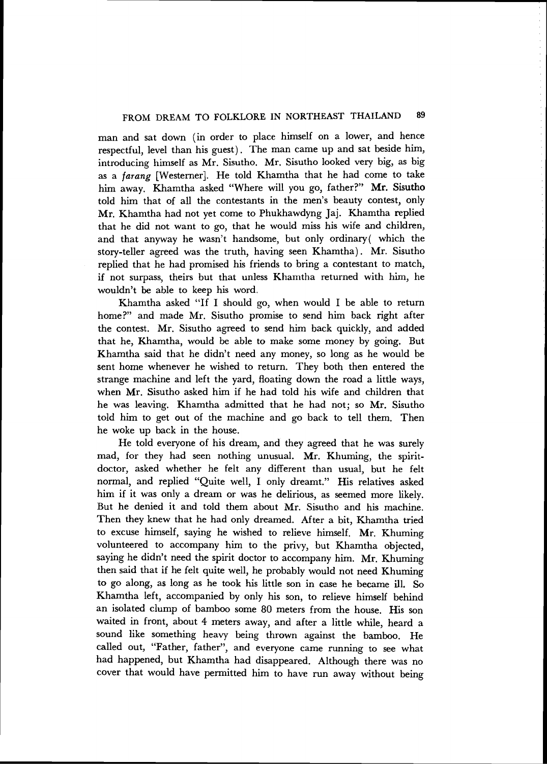man and sat down (in order to place himself on a lower, and hence respectful, level than his guest). The man came up and sat beside him, introducing himself as Mr. Sisutho. Mr. Sisutho looked very big, as big as a *farang* [Westerner]. He told Khamtha that he had come to take him away. Khamtha asked "Where will you go, father?" Mr. Sisutho told him that of all the contestants in the men's beauty contest, only Mr. Khamtha had not yet come to Phukhawdyng Jaj. Khamtha replied that he did not want to go, that he would miss his wife and children, and that anyway he wasn't handsome, but only ordinary( which the story-teller agreed was the truth, having seen Khamtha). Mr. Sisutho replied that he had promised his friends to bring a contestant to match, if not surpass, theirs but that unless Khamtha returned with him, he wouldn't be able to keep his word.

Khamtha asked "If I should go, when would I be able to return home?" and made Mr. Sisutho promise to send him back right after the contest. Mr. Sisutho agreed to send him back quickly, and added that he, Khamtha, would be able to make some money by going. But Khamtha said that he didn't need any money, so long as he would be sent home whenever he wished to return. They both then entered the strange machine and left the yard, floating down the road a little ways, when Mr. Sisutho asked him if he had told his wife and children that he was leaving. Khamtha admitted that he had not; so Mr. Sisutho told him to get out of the machine and go back to tell them. Then he woke up back in the house.

He told everyone of his dream, and they agreed that he was surely mad, for they had seen nothing unusual. Mr. Khuming, the spiritdoctor, asked whether he felt any different than usual, but he felt normal, and replied "Quite well, I only dreamt." His relatives asked him if it was only a dream or was he delirious, as seemed more likely. But he denied it and told them about Mr. Sisutho and his machine. Then they knew that he had only dreamed. After a bit, Khamtha tried to excuse himself, saying he wished to relieve himself. Mr. Khuming volunteered to accompany him to the privy, but Khamtha objected, saying he didn't need the spirit doctor to accompany him. Mr. Khuming then said that if he felt quite well, he probably would not need Khuming to go along,as long as he took his little son in case he became ill. So Khamtha left, accompanied by only his son, to relieve himself behind an isolated clump of bamboo some 80 meters from the house. His son waited in front, about 4 meters away, and after a little while, heard a sound like something heavy being thrown against the bamboo. He called out, "Father, father", and everyone came running to see what had happened, but Khamtha had disappeared. Although there was no cover that would have permitted him to have run away without being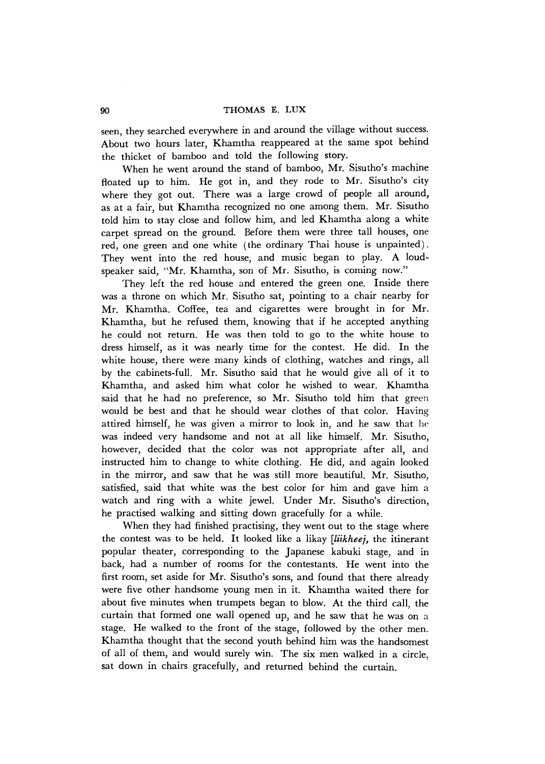seen, they searched everywhere in and around the village without success. About two hours later, Khamtha reappeared at the same spot behind the thicket of bamboo and told the following story.

When he went around the stand of bamboo, Mr. Sisutho's machine floated up to him. He got in, and they rode to Mr. Sisutho's city where they got out. There was a large crowd of people all around, as at a fair, but Khamtha recognized no one among them. Mr. Sisutho told him to stay close and follow him, and led Khamtha along a white carpet spread on the ground. Before them were three tall houses, one red, one green and one white (the ordinary Thai house is unpainted). They went into the red house, and music began to play. A loudspeaker said, "Mr. Khamtha, son of Mr. Sisutho, is coming now."

They left the red house and entered the green one. Inside there was a throne on which Mr. Sisutho sat, pointing to a chair nearby for Mr. Khamtha. Coffee, tea and cigarettes were brought in for Mr. Khamtha, but he refused them, knowing that if he accepted anything he could not return. He was then told to go to the white house to dress himself, as it was nearly time for the contest. He did. In the white house, there were many kinds of clothing, watches and rings, all by the cabinets-full. Mr. Sisutho said that he would give all of it to Khamtha, and asked him what color he wished to wear. Khamtha said that he had no preference, so Mr. Sisutho told him that green would be best and that he should wear clothes of that color. Having attired himself, he was given a mirror to look in, and he saw that he was indeed very handsome and not at all like himself. Mr. Sisutho, however, decided that the color was not appropriate after all, and instructed him to change to white clothing. He did, and again looked in the mirror, and saw that he was still more beautiful. Mr. Sisutho, satisfied, said that white was the best color for him and gave him a watch and ring with a white jewel. Under Mr. Sisutho's direction, he practised walking and sitting down gracefully for a while.

When they had finished practising, they went out to the stage where the contest was to be held. It looked like a likay *[liikheej*, the itinerant popular theater, corresponding to the Japanese kabuki stage, and in back, had a number of rooms for the contestants. He went into the first room, set aside for Mr. Sisutho's sons, and found that there already were five other handsome young men in it. Khamtha waited there for about five minutes when trumpets began to blow. At the third call, the curtain that formed one wall opened up, and he saw that he was on a stage. He walked to the front of the stage, followed by the other men. Khamtha thought that the second youth behind him was the handsomest of all of them, and would surely win. The six men walked in a circle, sat down in chairs gracefully, and returned behind the curtain.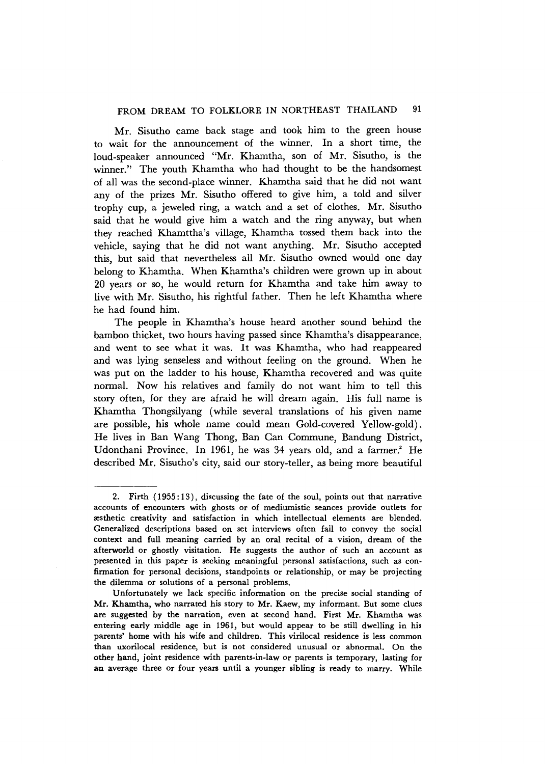# FROM DREAM TO FOLKLORE IN NORTHEAST THAILAND 91

Mr. Sisutho came back stage and took him to the green house to wait for the announcement of the winner. In a short time, the loud-speaker announced "Mr. Khamtha, son of Mr. Sisutho, is the winner." The youth Khamtha who had thought to be the handsomest of all was the second-place winner. Khamtha said that he did not want any of the prizes Mr. Sisutho offered to give him, a told and silver trophy cup, a jeweled ring, a watch and a set of clothes. Mr. Sisutho said that he would give him a watch and the ring anyway, but when they reached Khamttha's village, Khamtha tossed them back into the vehicle, saying that he did not want anything. Mr. Sisutho accepted this, but said that nevertheless all Mr. Sisutho owned would one day belong to Khamtha. When Khamtha's children were grown up in about 20 years or so,he would return for Khamtha and take him away to live with Mr. Sisutho, his rightful father. Then he left Khamtha where he had found him.

The people in Khamtha's house heard another sound behind the bamboo thicket, two hours having passed since Khamtha's disappearance, and went to see what it was. It was Khamtha, who had reappeared and was lying senseless and without feeling on the ground. When he was put on the ladder to his house, Khamtha recovered and was quite normal. Now his relatives and family do not want him to tell this story often, for they are afraid he will dream again. His full name is Khamtha Thongsilyang (while several translations of his given name are possible, his whole name could mean Gold-covered Yellow-gold). He lives in Ban Wang Thong, Ban Can Commune, Bandung District, Udonthani Province. In 1961, he was 34 years old, and a farmer.<sup>2</sup> He described Mr. Sisutho's city, said our story-teller, as being more beautiful

<sup>2.</sup> Firth (1955:13), discussing the fate of the soul, points out that narrative accounts of encounters with ghosts or of mediumistic seances provide outlets for aesthetic creativity and satisfaction in which intellectual elements are blended. Generalized descriptions based on set interviews often fail to convey the social context and full meaning carried by an oral recital of a vision, dream of the afterworld or ghostly visitation. He suggests the author of such an account as presented in this paper is seeking meaningful personal satisfactions, such as confirmation for personal decisions, standpoints or relationship, or may be projecting the dilemma or solutions of a personal problems.

Unfortunately we lack specific information on the precise social standing of Mr. Khamtha, who narrated his story to Mr. Kaew, my informant. But some clues are suggested by the narration, even at second hand. First Mr. Khamtha was entering early middle age in 1961, but would appear to be still dwelling in his parents' home with his wife and children. This virilocal residence is less common than uxorilocal residence, but is not considered unusual or abnormal. On the other hand, joint residence with parents-in-law or parents is temporary, lasting for an average three or four years until a younger sibling is ready to marry. While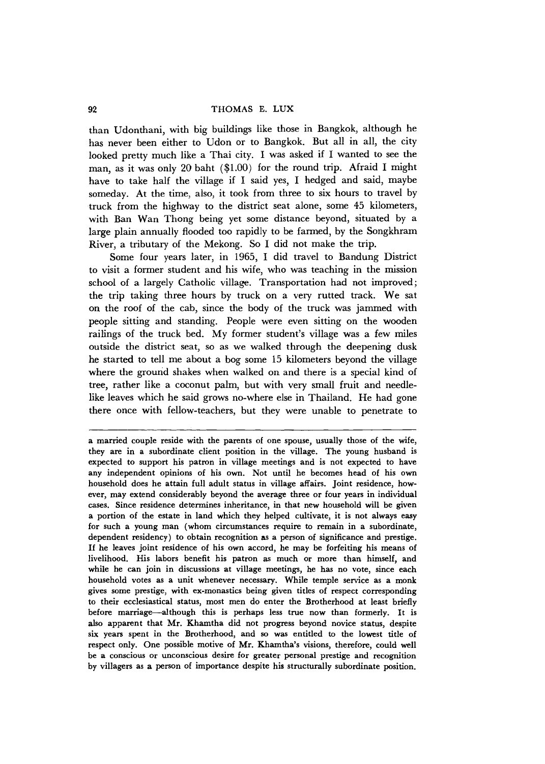than Udonthani, with big buildings like those in Bangkok, although he has never been either to Udon or to Bangkok. But all in all, the city looked pretty much like a Thai city. I was asked if I wanted to see the man, as it was only 20 baht (\$1.00) for the round trip. Afraid I might have to take half the village if I said yes, I hedged and said, maybe someday. At the time, also, it took from three to six hours to travel by truck from the highway to the district seat alone, some 45 kilometers, with Ban Wan Thong being yet some distance beyond, situated by a large plain annually flooded too rapidly to be farmed, by the Songkhram River,a tributary of the Mekong. So I did not make the trip.

Some four years later, in 1965, I did travel to Bandung District to visit a former student and his wife, who was teaching in the mission school of a largely Catholic village. Transportation had not improved; the trip taking three hours by truck on a very rutted track. We sat on the roof of the *cab,* since the body of the truck was jammed with people sitting and standing. People were even sitting on the wooden railings of the truck bed. My former student's village was a few miles outside the district seat, so as we walked through the deepening dusk he started to tell me about a bog some 15 kilometers beyond the village where the ground shakes when walked on and there is a special kind of tree, rather like a coconut palm, but with very small fruit and needlelike leaves which he said grows no-where else in Thailand. He had gone there once with fellow-teachers, but they were unable to penetrate to

a married couple reside with the parents of one spouse, usually those of the wife, they are in a subordinate client position in the village. The young husband is expected to support his patron in village meetings and is not expected to have any independent opinions of his own. Not until he becomes head of his own household does he attain full adult status in village affairs. Joint residence, however, may extend considerably beyond the average three or four years in individual cases. Since residence determines inheritance, in that new household will be given a portion of the estate in land which they helped cultivate, it is not always easy for such a young man (whom circumstances require to remain in a subordinate, dependent residency) to obtain recognition as a person of significance and prestige. If he leaves joint residence of his own accord, he may be forfeiting his means of livelihood. His labors benefit his patron as much or more than himself, and while he can join in discussions at village meetings, he has no vote, since each household votes as a unit whenever necessary. While temple service as a monk gives some prestige, with ex-monastics being given titles of respect corresponding to their ecclesiastical status, most men do enter the Brotherhood at least briefly before marriage— although this is perhaps less true now than formerly. It is also apparent that Mr. Khamtha did not progress beyond novice status, despite six years spent in the Brotherhood, and so was entitled to the lowest title of respect only. One possible motive of Mr. Khamtha's visions, therefore, could well be a conscious or unconscious desire for greater personal prestige and recognition by villagers as a person of importance despite his structurally subordinate position.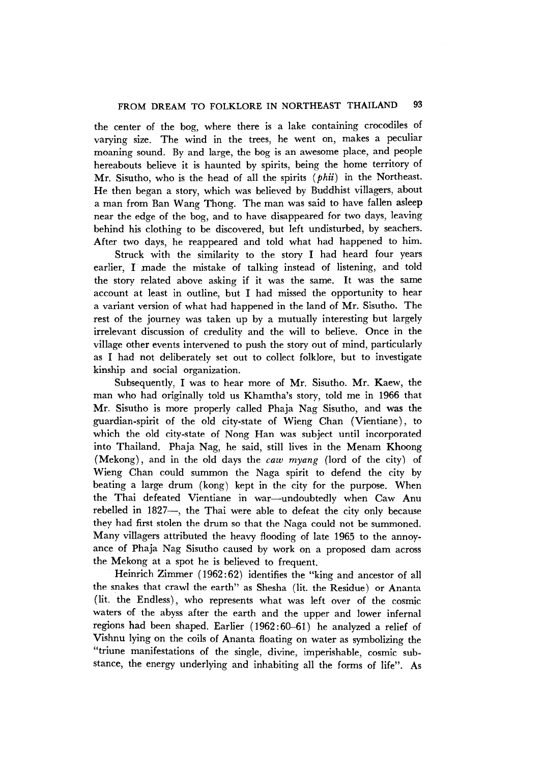# FROM DREAM TO FOLKLORE IN NORTHEAST THAILAND 93

the center of the bog, where there is a lake containing crocodiles of varying size. The wind in the trees, he went on, makes a peculiar moaning sound. By and large, the bog is an awesome place, and people hereabouts believe it is haunted by spirits, being the home territory of Mr. Sisutho,who is the head of all the spirits *{phii)* in the Northeast. He then began a story, which was believed by Buddhist villagers, about a man from Ban Wang Thong. The man was said to have fallen asleep near the edge of the bog, and to have disappeared for two days, leaving behind his clothing to be discovered, but left undisturbed, by seachers. After two days, he reappeared and told what had happened to him.

Struck with the similarity to the story I had heard four years earlier, I made the mistake of talking instead of listening, and told the story related above asking if it was the same. It was the same account at least in outline, but I had missed the opportunity to hear a variant version of what had happened in the land of Mr. Sisutho. The rest of the journey was taken up by a mutually interesting but largely irrelevant discussion of credulity and the will to believe. Once in the village other events intervened to push the story out of mind, particularly as I had not deliberately set out to collect folklore, but to investigate kinship and social organization.

Subsequently, I was to hear more of Mr. Sisutho. Mr. Kaew, the man who had originally told us Khamtha's story, told me in 1966 that Mr. Sisutho is more properly called Phaja Nag Sisutho, and was the guardian-spirit of the old city-state of Wieng Chan (Vientiane), to which the old city-state of Nong Han was subject until incorporated into Thailand. Phaja Nag, he said, still lives in the Menam Khoong (Mekong), and in the old days the *caw myang* (lord of the city) of Wieng Chan could summon the Naga spirit to defend the city by beating a large drum (kong) kept in the city for the purpose. When the Thai defeated Vientiane in war—undoubtedly when Caw Anu rebelled in 1827-, the Thai were able to defeat the city only because they had first stolen the drum so that the Naga could not be summoned. Many villagers attributed the heavy flooding of late 1965 to the annoyance of Phaja Nag Sisutho caused by work on a proposed dam across the Mekong at a spot he is believed to frequent.

Heinrich Zimmer (1962:62) identifies the "king and ancestor of all the snakes that crawl the earth'' as Shesha (lit. the Residue) or Ananta (lit. the Endless), who represents what was left over of the cosmic waters of the abyss after the earth and the upper and lower infernal regions had been shaped. Earlier (1962:60-61) he analyzed a relief of Vishnu lying on the coils of Ananta floating on water as symbolizing the "triune manifestations of the single, divine, imperishable, cosmic substance, the energy underlying and inhabiting all the forms of life". As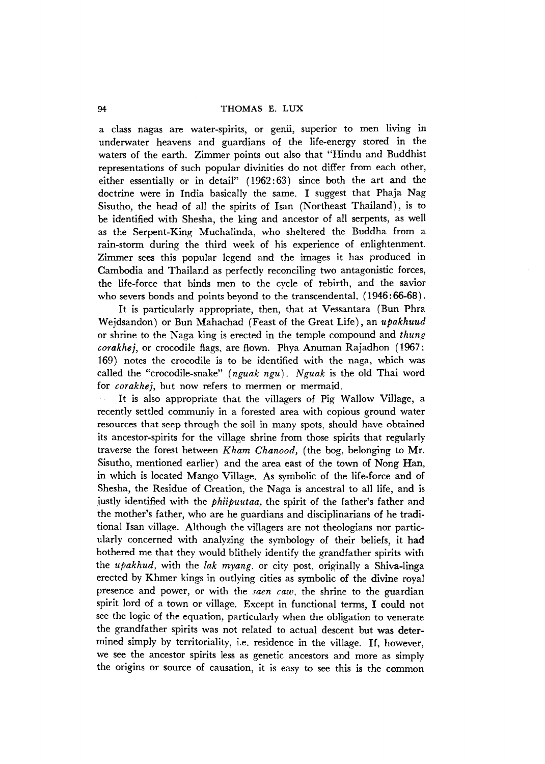a class nagas are water-spirits, or genii, superior to men living in underwater heavens and guardians of the life-energy stored in the waters of the earth. Zimmer points out also that "Hindu and Buddhist representations of such popular divinities do not differ from each other, either essentially or in detail" (1962:63) since both the art and the doctrine were in India basically the same. I suggest that Phaja Nag Sisutho, the head of all the spirits of Isan (Northeast Thailand), is to be identified with Shesha, the king and ancestor of all serpents, as well as the Serpent-King Muchalinda, who sheltered the Buddha from a rain-storm during the third week of his experience of enlightenment. Zimmer sees this popular legend and the images it has produced in Cambodia and Thailand as perfectly reconciling two antagonistic forces, the life-force that binds men to the cycle of rebirth, and the savior who severs bonds and points beyond to the transcendental. (1946:66-68).

It is particularly appropriate, then, that at Vessantara (Bun Phra Wejdsandon) or Bun Mahachad (Feast of the Great Life), an *upakhuud* or shrine to the Naga king is erected in the temple compound and *thung* corakhej, or crocodile flags, are flown. Phya Anuman Rajadhon (1967: 169) notes the crocodile is to be identified with the naga, which was called the "crocodile-snake" *(npuak ngu*). *Nguak* is the old Thai word for *corakhej,* but now refers to mermen or mermaid.

It is also appropriate that the villagers of Pig Wallow Village, a recently settled communiy in a forested area with copious ground water resources that seep through the soil in many spots, should have obtained its ancestor-spirits for the village shrine from those spirits that regularly traverse the forest between *Kham Chanood*, (the bog, belonging to Mr. Sisutho, mentioned earlier) and the area east of the town of Nong Han, in which is located Mango Village. As symbolic of the life-force and of Shesha, the Residue of Creation, the Naga is ancestral to all life, and is justly identified with the *phiipuutaa* the spirit of the father's father and the mother's father, who are he guardians and disciplinarians of he traditional Isan village. Although the villagers are not theologians nor particularly concerned with analyzing the symbology of their beliefs, it had bothered me that they would blithely identify the grandfather spirits with the *upakhud*, with the *lak myang*, or city post, originally a Shiva-linga erected by Khmer kings in outlying cities as symbolic of the divine royal presence and power, or with the *saen caw,* the shrine to the guardian spirit lord of a town or village. Except in functional terms, I could not see the logic of the equation, particularly when the obligation to venerate the grandfather spirits was not related to actual descent but was determined simply by territoriality, i.e. residence in the village. If, however, we see the ancestor spirits less as genetic ancestors and more as simply the origins or source of causation, it is easy to see this is the common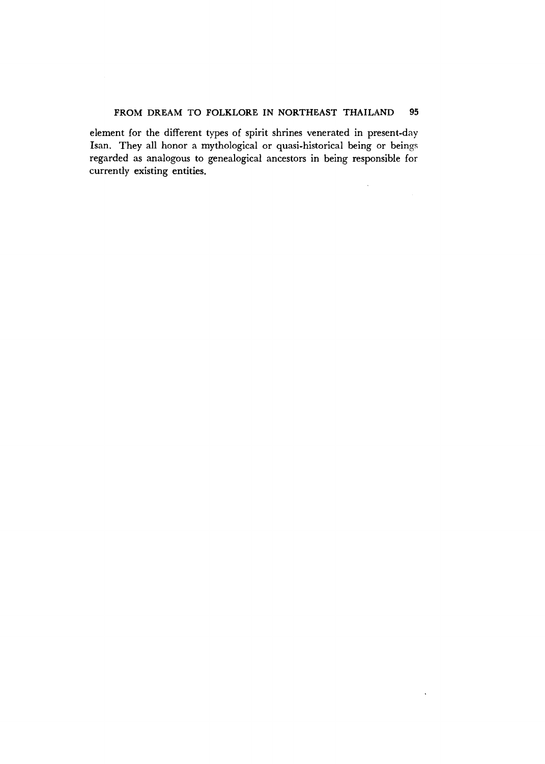## FROM DREAM TO FOLKLORE IN NORTHEAST THAILAND 95

 $\Delta \phi$ 

 $\hat{\mathcal{A}}$ 

element for the different types of spirit shrines venerated in present-day Isan. They all honor a mythological or quasi-historical being or beings regarded as analogous to genealogical ancestors in being responsible for currently existing entities.